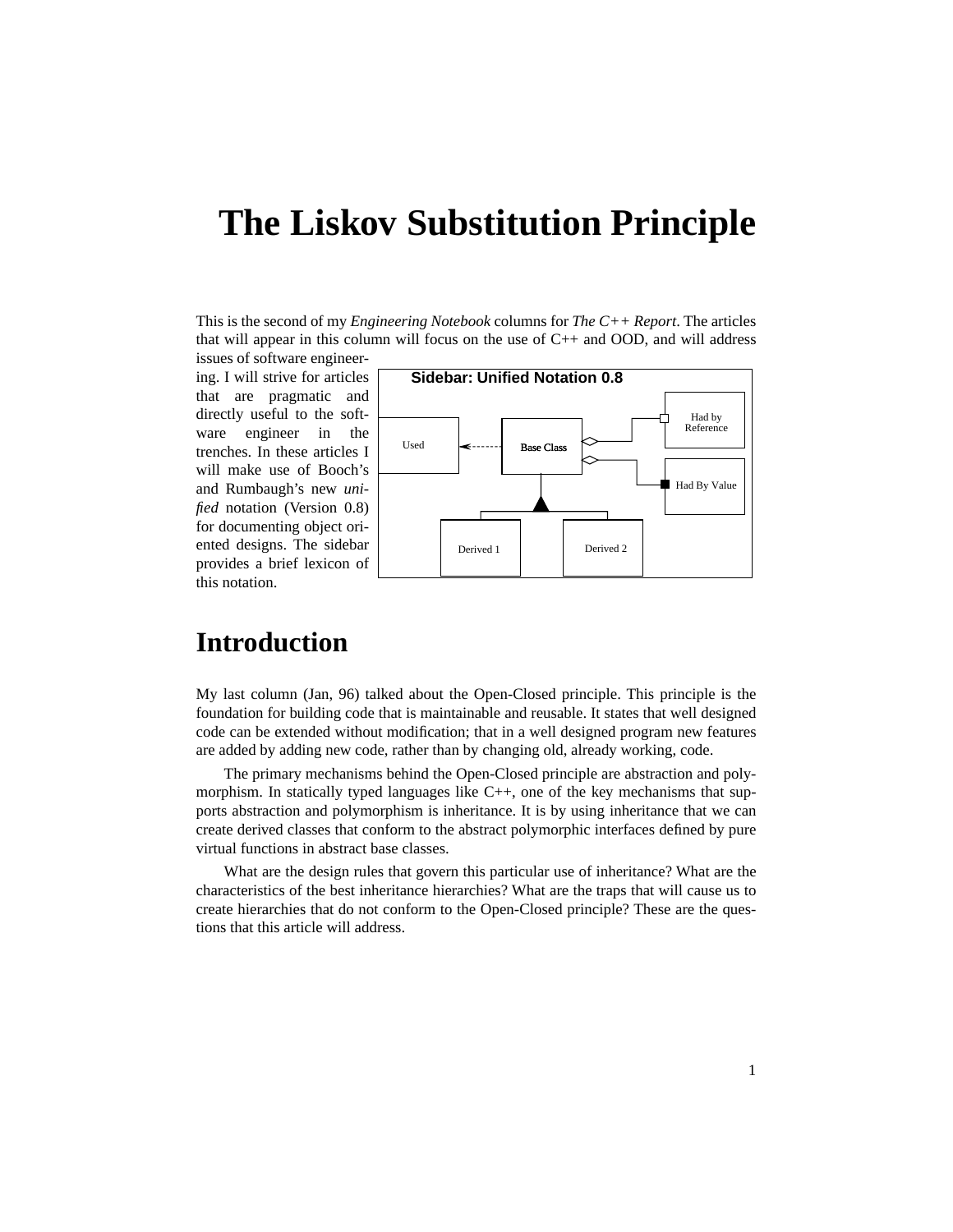This is the second of my *Engineering Notebook* columns for *The C++ Report*. The articles that will appear in this column will focus on the use of  $C_{++}$  and OOD, and will address

issues of software engineering. I will strive for articles that are pragmatic and directly useful to the software engineer in the trenches. In these articles I will make use of Booch's and Rumbaugh's new *unified* notation (Version 0.8) for documenting object oriented designs. The sidebar provides a brief lexicon of this notation.



# **Introduction**

My last column (Jan, 96) talked about the Open-Closed principle. This principle is the foundation for building code that is maintainable and reusable. It states that well designed code can be extended without modification; that in a well designed program new features are added by adding new code, rather than by changing old, already working, code.

The primary mechanisms behind the Open-Closed principle are abstraction and polymorphism. In statically typed languages like C++, one of the key mechanisms that supports abstraction and polymorphism is inheritance. It is by using inheritance that we can create derived classes that conform to the abstract polymorphic interfaces defined by pure virtual functions in abstract base classes.

What are the design rules that govern this particular use of inheritance? What are the characteristics of the best inheritance hierarchies? What are the traps that will cause us to create hierarchies that do not conform to the Open-Closed principle? These are the questions that this article will address.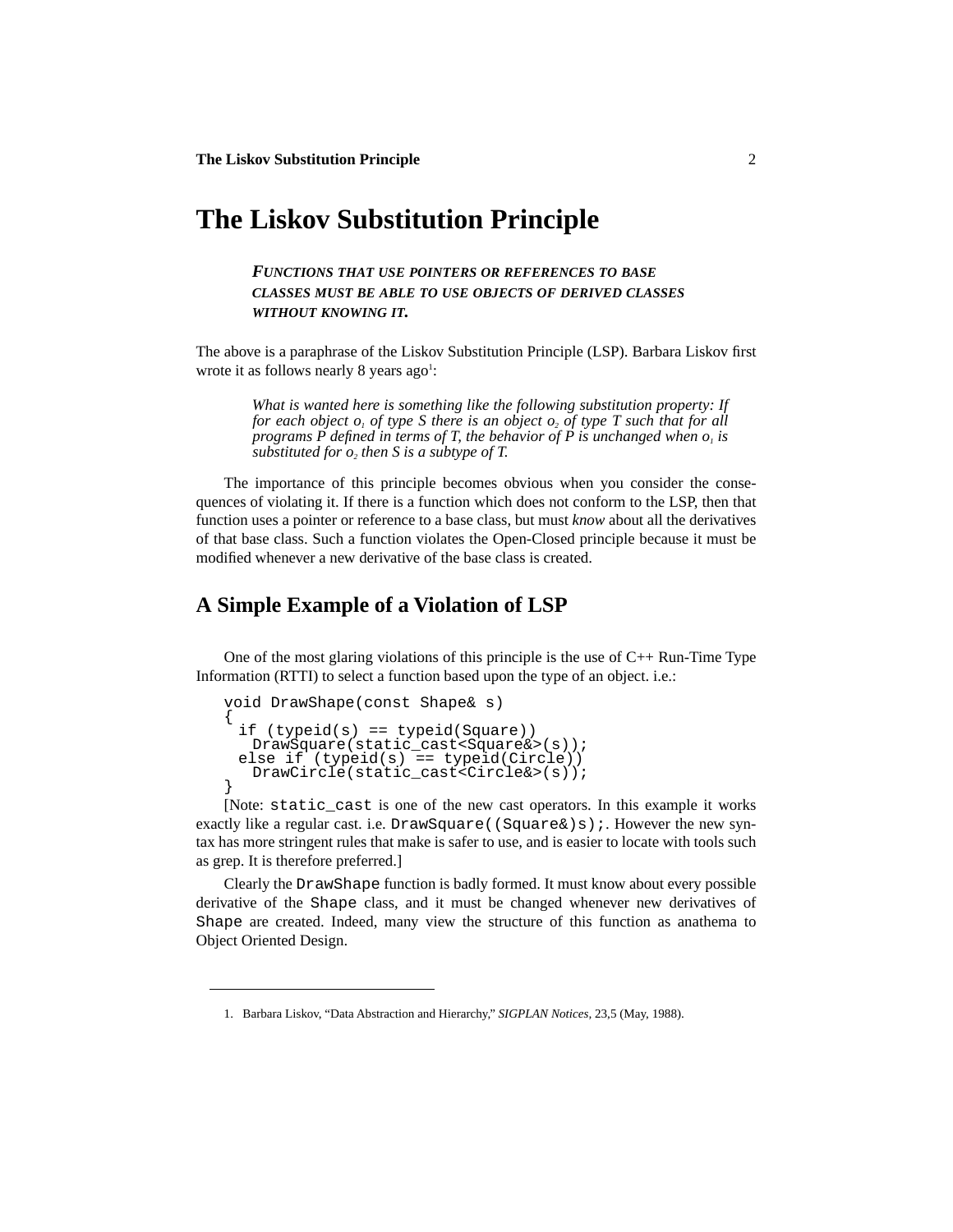*FUNCTIONS THAT USE POINTERS OR REFERENCES TO BASE CLASSES MUST BE ABLE TO USE OBJECTS OF DERIVED CLASSES WITHOUT KNOWING IT.*

The above is a paraphrase of the Liskov Substitution Principle (LSP). Barbara Liskov first wrote it as follows nearly 8 years  $ago<sup>1</sup>$ :

*What is wanted here is something like the following substitution property: If for each object*  $o_1$  *of type S there is an object*  $o_2$  *of type T such that for all programs P defined in terms of T, the behavior of P is unchanged when*  $o<sub>l</sub>$  *is substituted for*  $o_2$  *then S is a subtype of T.* 

The importance of this principle becomes obvious when you consider the consequences of violating it. If there is a function which does not conform to the LSP, then that function uses a pointer or reference to a base class, but must *know* about all the derivatives of that base class. Such a function violates the Open-Closed principle because it must be modified whenever a new derivative of the base class is created.

# **A Simple Example of a Violation of LSP**

One of the most glaring violations of this principle is the use of  $C_{++}$  Run-Time Type Information (RTTI) to select a function based upon the type of an object. i.e.:

```
void DrawShape(const Shape& s)
{
 if (typeid(s) == typeid(Square))
  DrawSquare(static_cast<Square&>(s));
 else if (typeid(s) == typeid(Circle)DrawCircle(static\ cast{c}circle\&>(s));
}
```
[Note: static\_cast is one of the new cast operators. In this example it works exactly like a regular cast. i.e. DrawSquare((Square&)s);. However the new syntax has more stringent rules that make is safer to use, and is easier to locate with tools such as grep. It is therefore preferred.]

Clearly the DrawShape function is badly formed. It must know about every possible derivative of the Shape class, and it must be changed whenever new derivatives of Shape are created. Indeed, many view the structure of this function as anathema to Object Oriented Design.

<sup>1.</sup> Barbara Liskov, "Data Abstraction and Hierarchy," *SIGPLAN Notices,* 23,5 (May, 1988).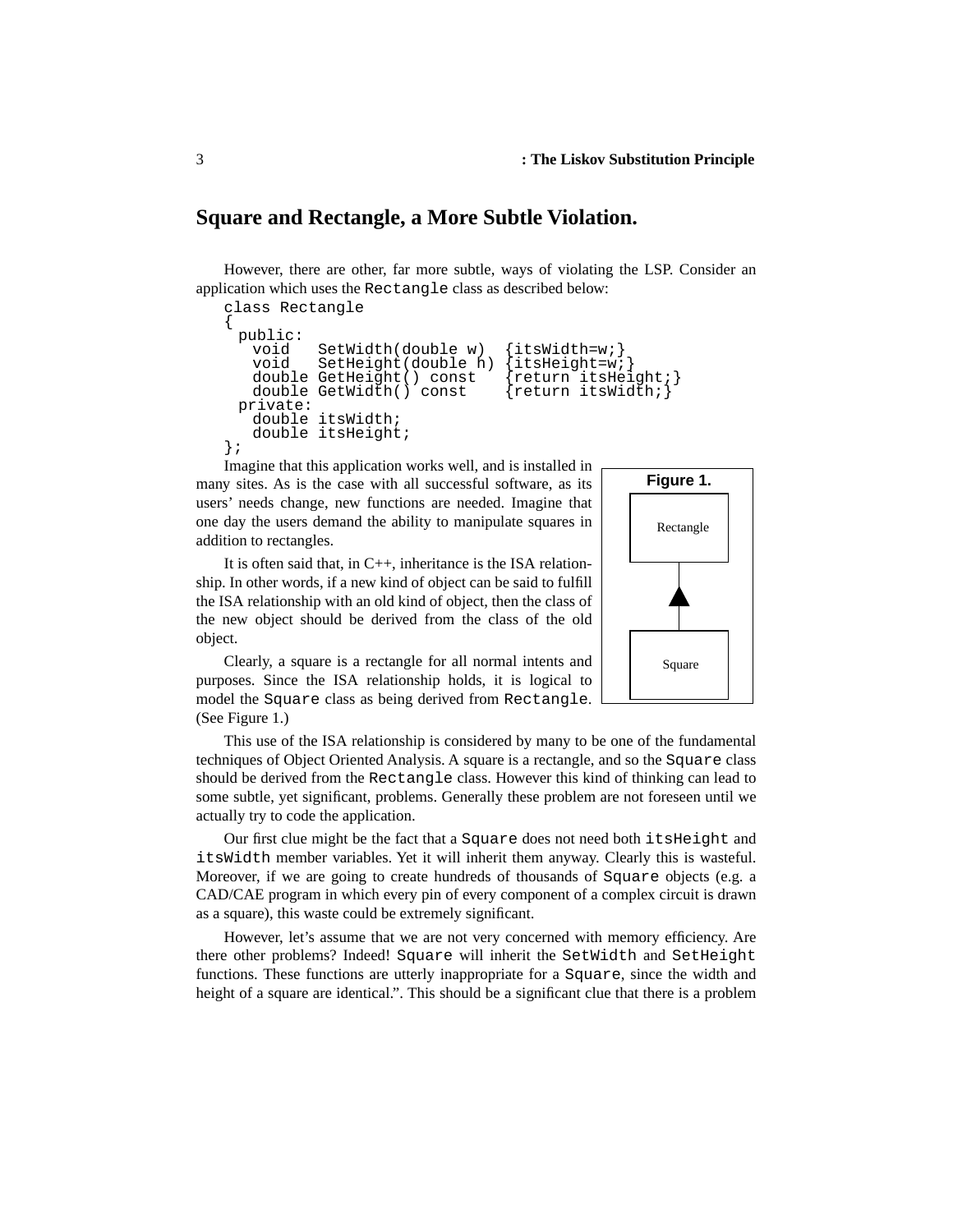### **Square and Rectangle, a More Subtle Violation.**

However, there are other, far more subtle, ways of violating the LSP. Consider an application which uses the Rectangle class as described below:

```
class Rectangle
{
 public:
              SetWidth(double w) \{itsWidth=w\}void SetHeight(double h) {itsHeight=w;}<br>double GetHeight() const {return itsHeight;}
    double GetHeight() const {return itsHeight;<br>double GetWidth() const {return itsWidth;}
    double GetWidth() const
 private:
    double itsWidth;
    double itsHeight;
};
```
Imagine that this application works well, and is installed in many sites. As is the case with all successful software, as its users' needs change, new functions are needed. Imagine that one day the users demand the ability to manipulate squares in addition to rectangles.

It is often said that, in C++, inheritance is the ISA relationship. In other words, if a new kind of object can be said to fulfill the ISA relationship with an old kind of object, then the class of the new object should be derived from the class of the old object.



Clearly, a square is a rectangle for all normal intents and purposes. Since the ISA relationship holds, it is logical to model the Square class as being derived from Rectangle. (See Figure 1.)

This use of the ISA relationship is considered by many to be one of the fundamental techniques of Object Oriented Analysis. A square is a rectangle, and so the Square class should be derived from the Rectangle class. However this kind of thinking can lead to some subtle, yet significant, problems. Generally these problem are not foreseen until we actually try to code the application.

Our first clue might be the fact that a Square does not need both itsHeight and itsWidth member variables. Yet it will inherit them anyway. Clearly this is wasteful. Moreover, if we are going to create hundreds of thousands of Square objects (e.g. a CAD/CAE program in which every pin of every component of a complex circuit is drawn as a square), this waste could be extremely significant.

However, let's assume that we are not very concerned with memory efficiency. Are there other problems? Indeed! Square will inherit the SetWidth and SetHeight functions. These functions are utterly inappropriate for a Square, since the width and height of a square are identical.". This should be a significant clue that there is a problem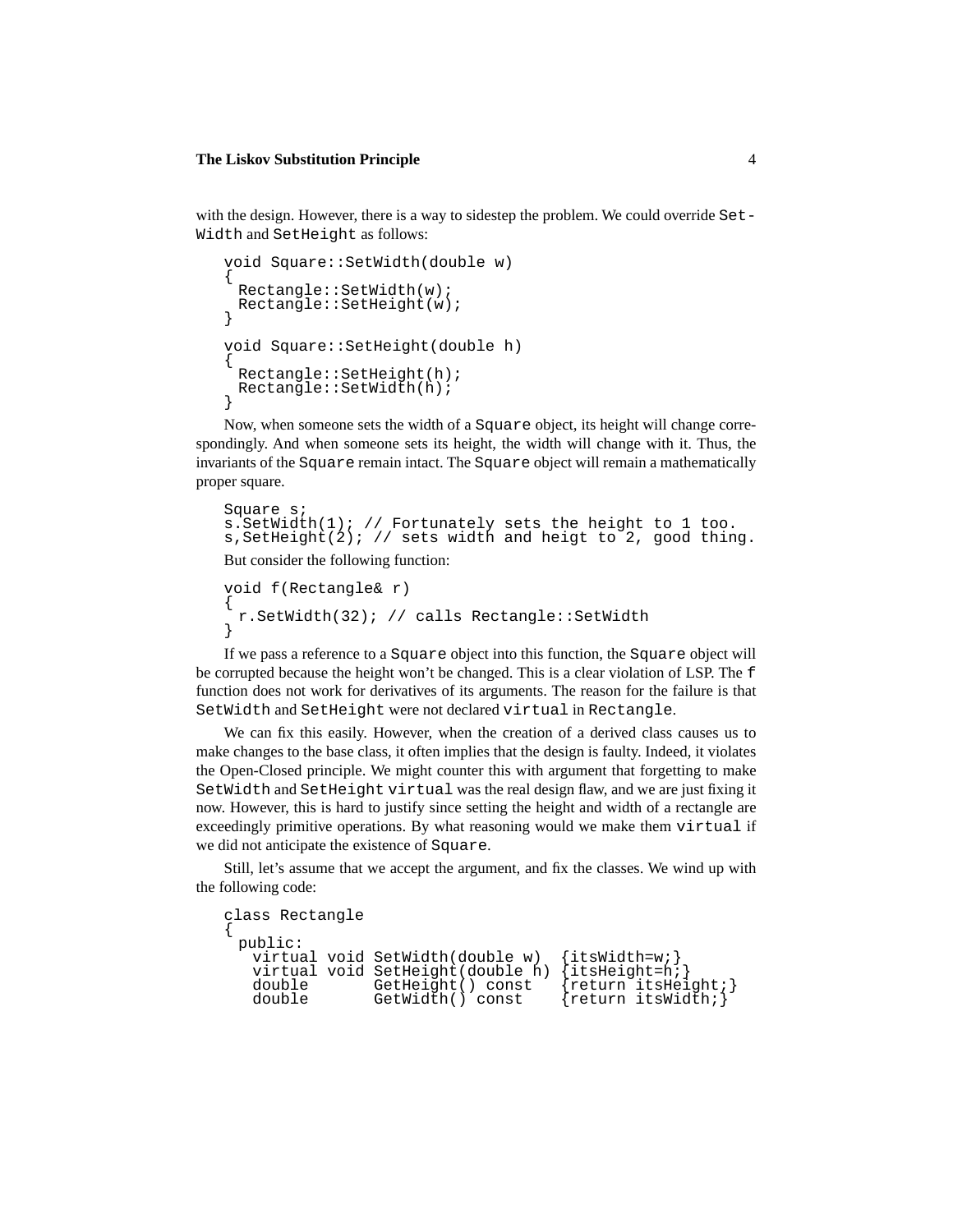with the design. However, there is a way to sidestep the problem. We could override Set-Width and SetHeight as follows:

```
void Square::SetWidth(double w)
{
 Rectangle::SetWidth(w);
 Rectangle::SetHeight(w);
}
void Square::SetHeight(double h)
{
 Rectangle::SetHeight(h);
 Rectangle::SetWidth(h);
}
```
Now, when someone sets the width of a Square object, its height will change correspondingly. And when someone sets its height, the width will change with it. Thus, the invariants of the Square remain intact. The Square object will remain a mathematically proper square.

```
Square s;
s.SetWidth(1); // Fortunately sets the height to 1 too.
s, SetHeight(2); // sets width and heigt to 2, good thing.
```
But consider the following function:

```
void f(Rectangle& r)
{
 r.SetWidth(32); // calls Rectangle::SetWidth
}
```
If we pass a reference to a Square object into this function, the Square object will be corrupted because the height won't be changed. This is a clear violation of LSP. The f function does not work for derivatives of its arguments. The reason for the failure is that SetWidth and SetHeight were not declared virtual in Rectangle.

We can fix this easily. However, when the creation of a derived class causes us to make changes to the base class, it often implies that the design is faulty. Indeed, it violates the Open-Closed principle. We might counter this with argument that forgetting to make SetWidth and SetHeight virtual was the real design flaw, and we are just fixing it now. However, this is hard to justify since setting the height and width of a rectangle are exceedingly primitive operations. By what reasoning would we make them virtual if we did not anticipate the existence of Square.

Still, let's assume that we accept the argument, and fix the classes. We wind up with the following code:

```
class Rectangle
{
  public:
    virtual void SetWidth(double w) {itsWidth=w;}<br>virtual void SetHeight(double h) {itsHeight=h;}
    virtual void SetHeight(double h)<br>double GetHeight() const
    double GetHeight() const {return itsHeight;}<br>double GetWidth() const {return itsWidth;}
                                                             \{return itsWidth\}
```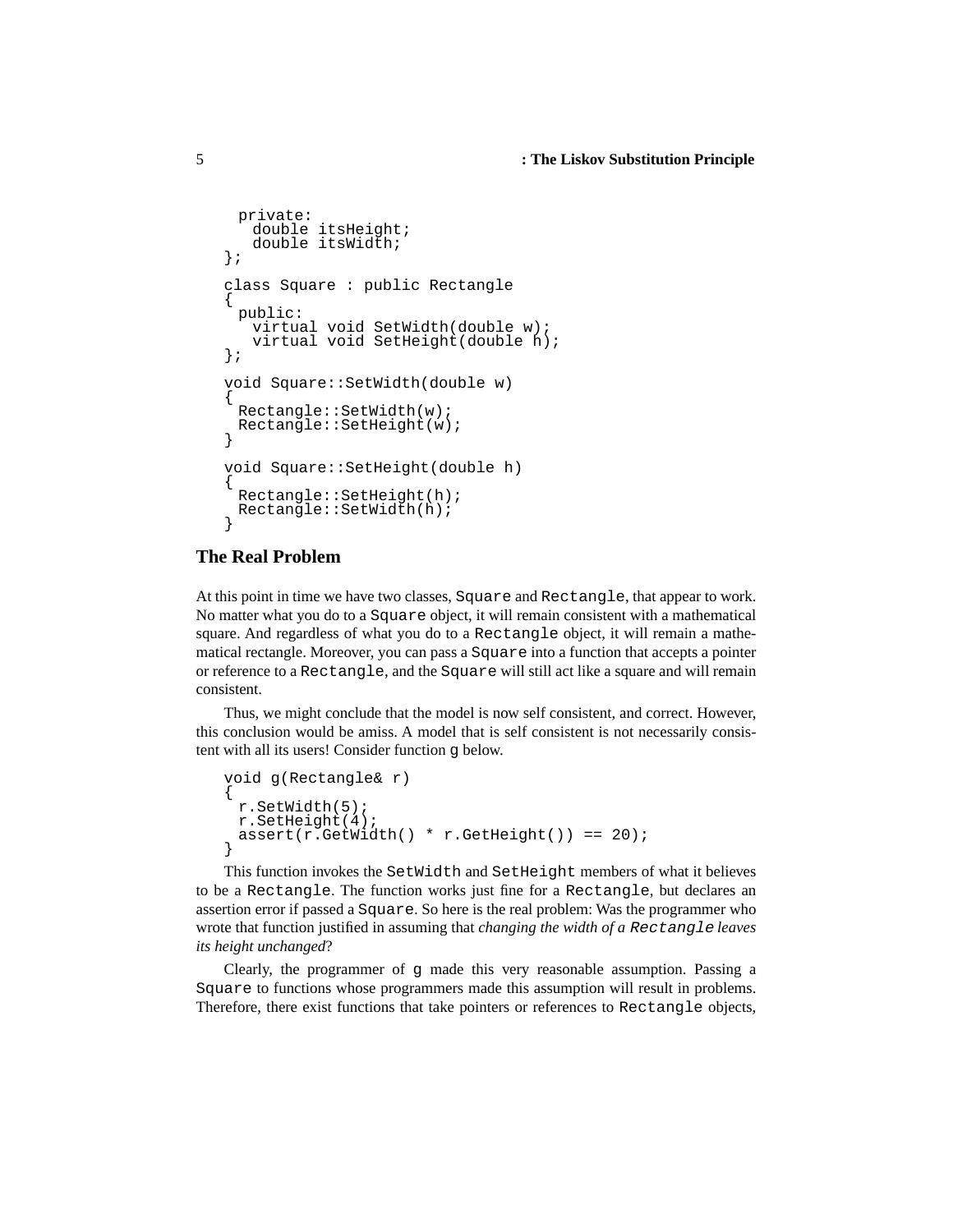```
private:
   double itsHeight;
   double itsWidth;
};
class Square : public Rectangle
{
 public:
   virtual void SetWidth(double w);
   virtual void SetHeight(double h);
};
void Square::SetWidth(double w)
{
 Rectangle::SetWidth(w);
 Rectangle::SetHeight(w);
}
void Square::SetHeight(double h)
{
 Rectangle::SetHeight(h);
 Rectangle::SetWidth(h);
}
```
#### **The Real Problem**

At this point in time we have two classes, Square and Rectangle, that appear to work. No matter what you do to a Square object, it will remain consistent with a mathematical square. And regardless of what you do to a Rectangle object, it will remain a mathematical rectangle. Moreover, you can pass a Square into a function that accepts a pointer or reference to a Rectangle, and the Square will still act like a square and will remain consistent.

Thus, we might conclude that the model is now self consistent, and correct. However, this conclusion would be amiss. A model that is self consistent is not necessarily consistent with all its users! Consider function g below.

```
void g(Rectangle& r)
{
 r.SetWidth(5);
 r.SetHeight(4);
 assert(r.GetWidth() * r.GetHeight()) == 20);}
```
This function invokes the SetWidth and SetHeight members of what it believes to be a Rectangle. The function works just fine for a Rectangle, but declares an assertion error if passed a Square. So here is the real problem: Was the programmer who wrote that function justified in assuming that *changing the width of a* Rectangle *leaves its height unchanged*?

Clearly, the programmer of g made this very reasonable assumption. Passing a Square to functions whose programmers made this assumption will result in problems. Therefore, there exist functions that take pointers or references to Rectangle objects,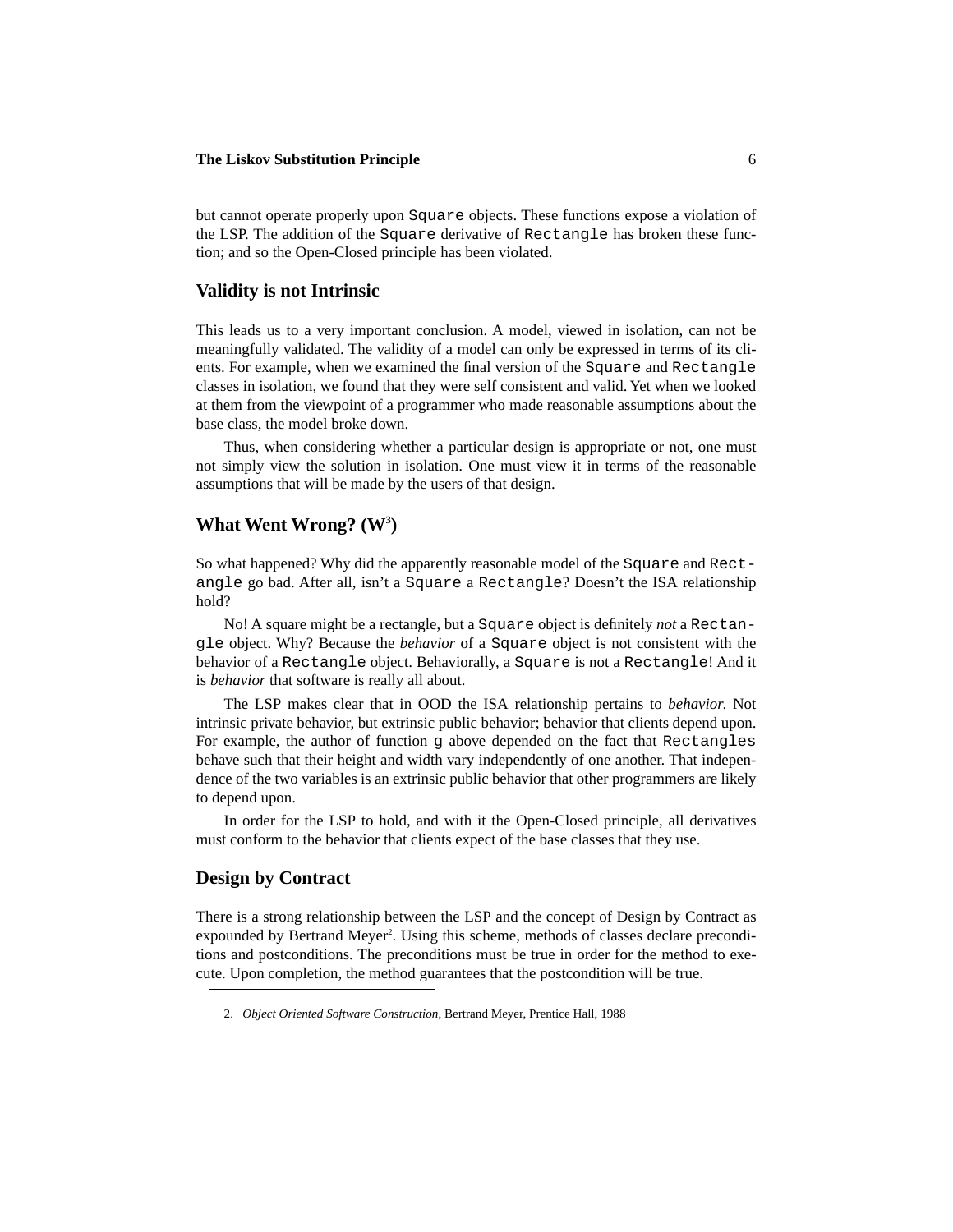but cannot operate properly upon Square objects. These functions expose a violation of the LSP. The addition of the Square derivative of Rectangle has broken these function; and so the Open-Closed principle has been violated.

#### **Validity is not Intrinsic**

This leads us to a very important conclusion. A model, viewed in isolation, can not be meaningfully validated. The validity of a model can only be expressed in terms of its clients. For example, when we examined the final version of the Square and Rectangle classes in isolation, we found that they were self consistent and valid. Yet when we looked at them from the viewpoint of a programmer who made reasonable assumptions about the base class, the model broke down.

Thus, when considering whether a particular design is appropriate or not, one must not simply view the solution in isolation. One must view it in terms of the reasonable assumptions that will be made by the users of that design.

### What Went Wrong? (W<sup>3</sup>)

So what happened? Why did the apparently reasonable model of the Square and Rectangle go bad. After all, isn't a Square a Rectangle? Doesn't the ISA relationship hold?

No! A square might be a rectangle, but a Square object is definitely *not* a Rectangle object. Why? Because the *behavior* of a Square object is not consistent with the behavior of a Rectangle object. Behaviorally, a Square is not a Rectangle! And it is *behavior* that software is really all about.

The LSP makes clear that in OOD the ISA relationship pertains to *behavior*. Not intrinsic private behavior, but extrinsic public behavior; behavior that clients depend upon. For example, the author of function g above depended on the fact that Rectangles behave such that their height and width vary independently of one another. That independence of the two variables is an extrinsic public behavior that other programmers are likely to depend upon.

In order for the LSP to hold, and with it the Open-Closed principle, all derivatives must conform to the behavior that clients expect of the base classes that they use.

#### **Design by Contract**

There is a strong relationship between the LSP and the concept of Design by Contract as expounded by Bertrand Meyer<sup>2</sup>. Using this scheme, methods of classes declare preconditions and postconditions. The preconditions must be true in order for the method to execute. Upon completion, the method guarantees that the postcondition will be true.

<sup>2.</sup> *Object Oriented Software Construction*, Bertrand Meyer, Prentice Hall, 1988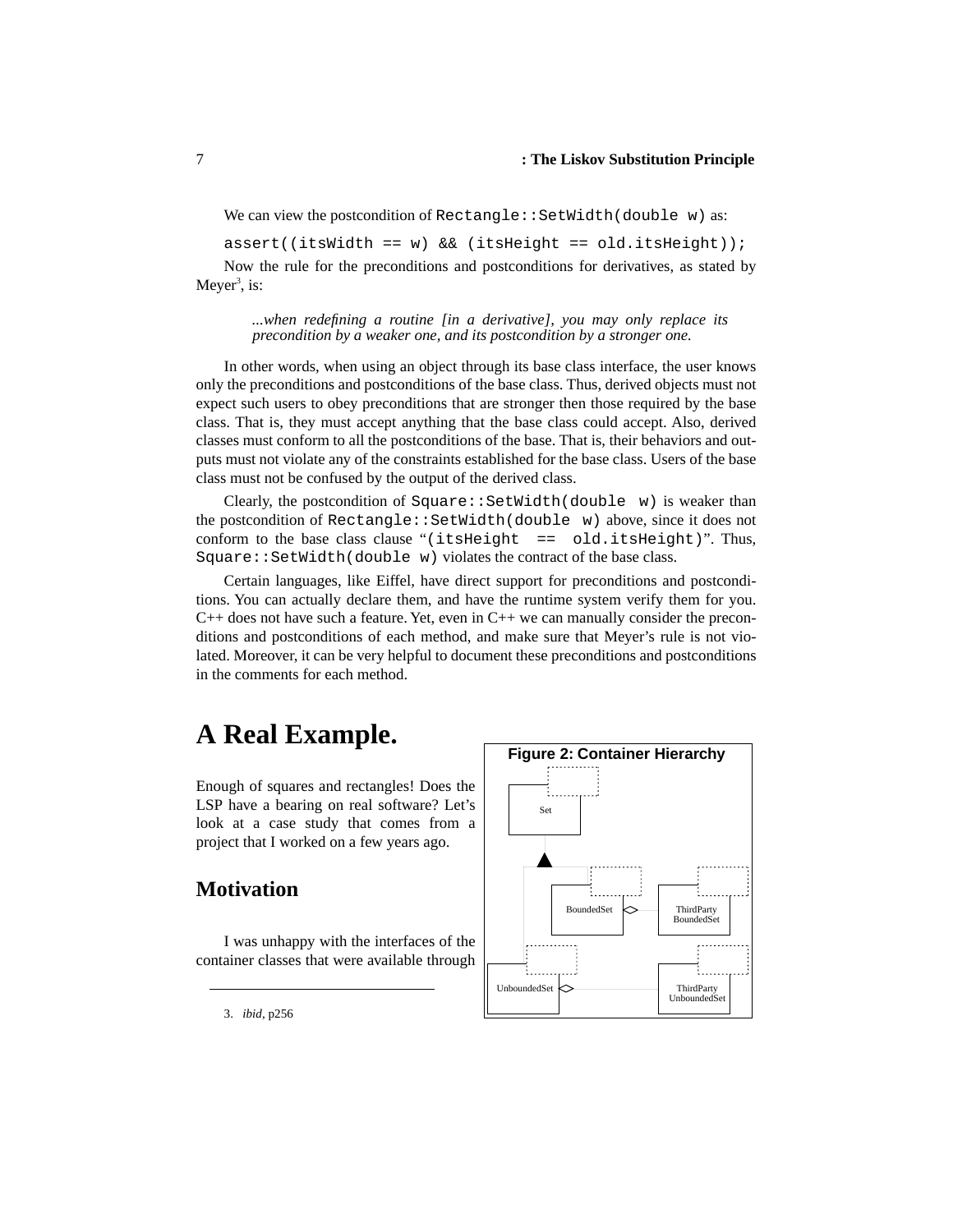We can view the postcondition of  $\text{Rectangle}$ : SetWidth(double w) as:

assert((itsWidth == w) && (itsHeight == old.itsHeight));

Now the rule for the preconditions and postconditions for derivatives, as stated by Meyer<sup>3</sup>, is:

*...when redefining a routine [in a derivative], you may only replace its precondition by a weaker one, and its postcondition by a stronger one.*

In other words, when using an object through its base class interface, the user knows only the preconditions and postconditions of the base class. Thus, derived objects must not expect such users to obey preconditions that are stronger then those required by the base class. That is, they must accept anything that the base class could accept. Also, derived classes must conform to all the postconditions of the base. That is, their behaviors and outputs must not violate any of the constraints established for the base class. Users of the base class must not be confused by the output of the derived class.

Clearly, the postcondition of Square::SetWidth(double w) is weaker than the postcondition of Rectangle::SetWidth(double w) above, since it does not conform to the base class clause "(itsHeight == old.itsHeight)". Thus, Square::SetWidth(double w) violates the contract of the base class.

Certain languages, like Eiffel, have direct support for preconditions and postconditions. You can actually declare them, and have the runtime system verify them for you.  $C_{++}$  does not have such a feature. Yet, even in  $C_{++}$  we can manually consider the preconditions and postconditions of each method, and make sure that Meyer's rule is not violated. Moreover, it can be very helpful to document these preconditions and postconditions in the comments for each method.

# **A Real Example.**

Enough of squares and rectangles! Does the LSP have a bearing on real software? Let's look at a case study that comes from a project that I worked on a few years ago.

# **Motivation**

I was unhappy with the interfaces of the container classes that were available through



3. *ibid*, p256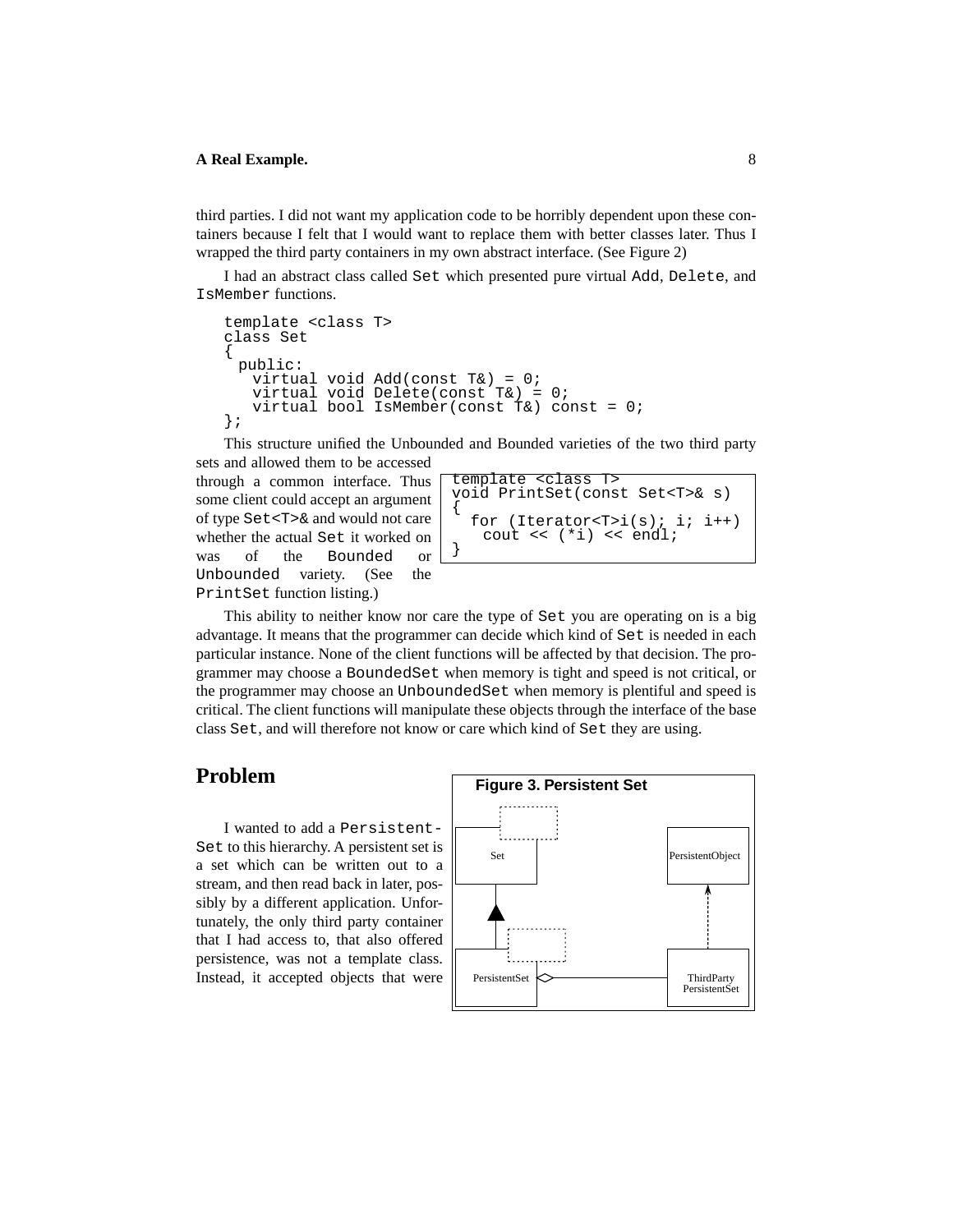#### **A Real Example.** 8

third parties. I did not want my application code to be horribly dependent upon these containers because I felt that I would want to replace them with better classes later. Thus I wrapped the third party containers in my own abstract interface. (See Figure 2)

I had an abstract class called Set which presented pure virtual Add, Delete, and IsMember functions.

```
template <class T> 
class Set
{
 public:
   virtual void Add(const T&) = 0;
   virtual void Delete(const T&) = 0;
   virtual bool IsMember(const T&) const = 0;
};
```
This structure unified the Unbounded and Bounded varieties of the two third party sets and allowed them to be accessed

through a common interface. Thus some client could accept an argument of type Set<T>& and would not care whether the actual Set it worked on was of the Bounded or Unbounded variety. (See the PrintSet function listing.)

template <class T> void PrintSet(const Set<T>& s) { for (Iterator<T>i(s); i; i++) cout << (\*i) << endl; }

This ability to neither know nor care the type of Set you are operating on is a big advantage. It means that the programmer can decide which kind of Set is needed in each particular instance. None of the client functions will be affected by that decision. The programmer may choose a BoundedSet when memory is tight and speed is not critical, or the programmer may choose an UnboundedSet when memory is plentiful and speed is critical. The client functions will manipulate these objects through the interface of the base class Set, and will therefore not know or care which kind of Set they are using.

### **Problem**

I wanted to add a Persistent-Set to this hierarchy. A persistent set is a set which can be written out to a stream, and then read back in later, possibly by a different application. Unfortunately, the only third party container that I had access to, that also offered persistence, was not a template class. Instead, it accepted objects that were

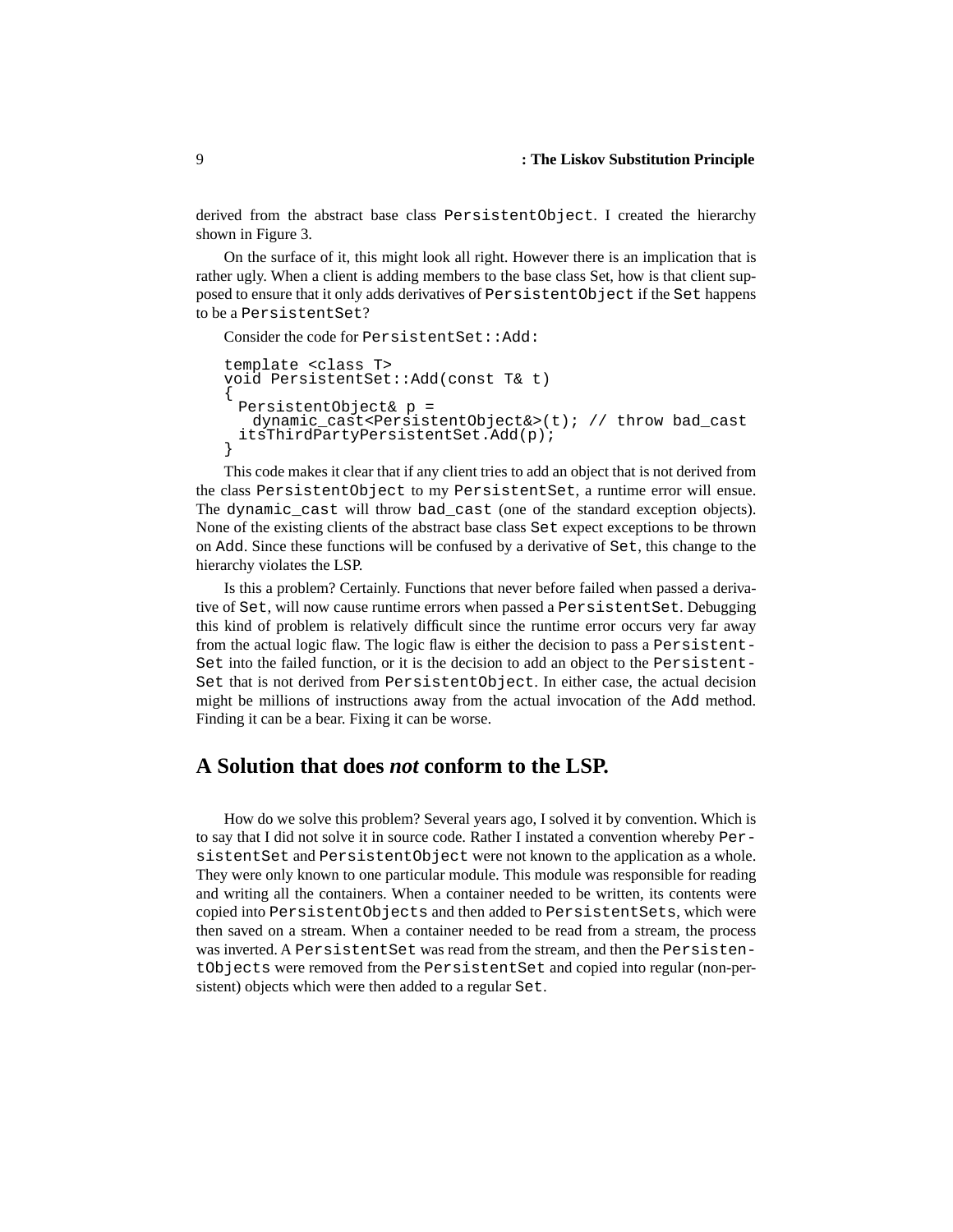derived from the abstract base class PersistentObject. I created the hierarchy shown in Figure 3.

On the surface of it, this might look all right. However there is an implication that is rather ugly. When a client is adding members to the base class Set, how is that client supposed to ensure that it only adds derivatives of PersistentObject if the Set happens to be a PersistentSet?

```
Consider the code for PersistentSet::Add:
template <class T>
void PersistentSet::Add(const T& t)
{
 PersistentObject& p = 
   dynamic_cast<PersistentObject&>(t); // throw bad_cast
 itsThirdPartyPersistentSet.Add(p);
}
```
This code makes it clear that if any client tries to add an object that is not derived from the class PersistentObject to my PersistentSet, a runtime error will ensue. The dynamic\_cast will throw bad\_cast (one of the standard exception objects). None of the existing clients of the abstract base class Set expect exceptions to be thrown on Add. Since these functions will be confused by a derivative of Set, this change to the hierarchy violates the LSP.

Is this a problem? Certainly. Functions that never before failed when passed a derivative of Set, will now cause runtime errors when passed a PersistentSet. Debugging this kind of problem is relatively difficult since the runtime error occurs very far away from the actual logic flaw. The logic flaw is either the decision to pass a Persistent-Set into the failed function, or it is the decision to add an object to the Persistent-Set that is not derived from PersistentObject. In either case, the actual decision might be millions of instructions away from the actual invocation of the Add method. Finding it can be a bear. Fixing it can be worse.

# **A Solution that does** *not* **conform to the LSP.**

How do we solve this problem? Several years ago, I solved it by convention. Which is to say that I did not solve it in source code. Rather I instated a convention whereby PersistentSet and PersistentObject were not known to the application as a whole. They were only known to one particular module. This module was responsible for reading and writing all the containers. When a container needed to be written, its contents were copied into PersistentObjects and then added to PersistentSets, which were then saved on a stream. When a container needed to be read from a stream, the process was inverted. A PersistentSet was read from the stream, and then the PersistentObjects were removed from the PersistentSet and copied into regular (non-persistent) objects which were then added to a regular Set.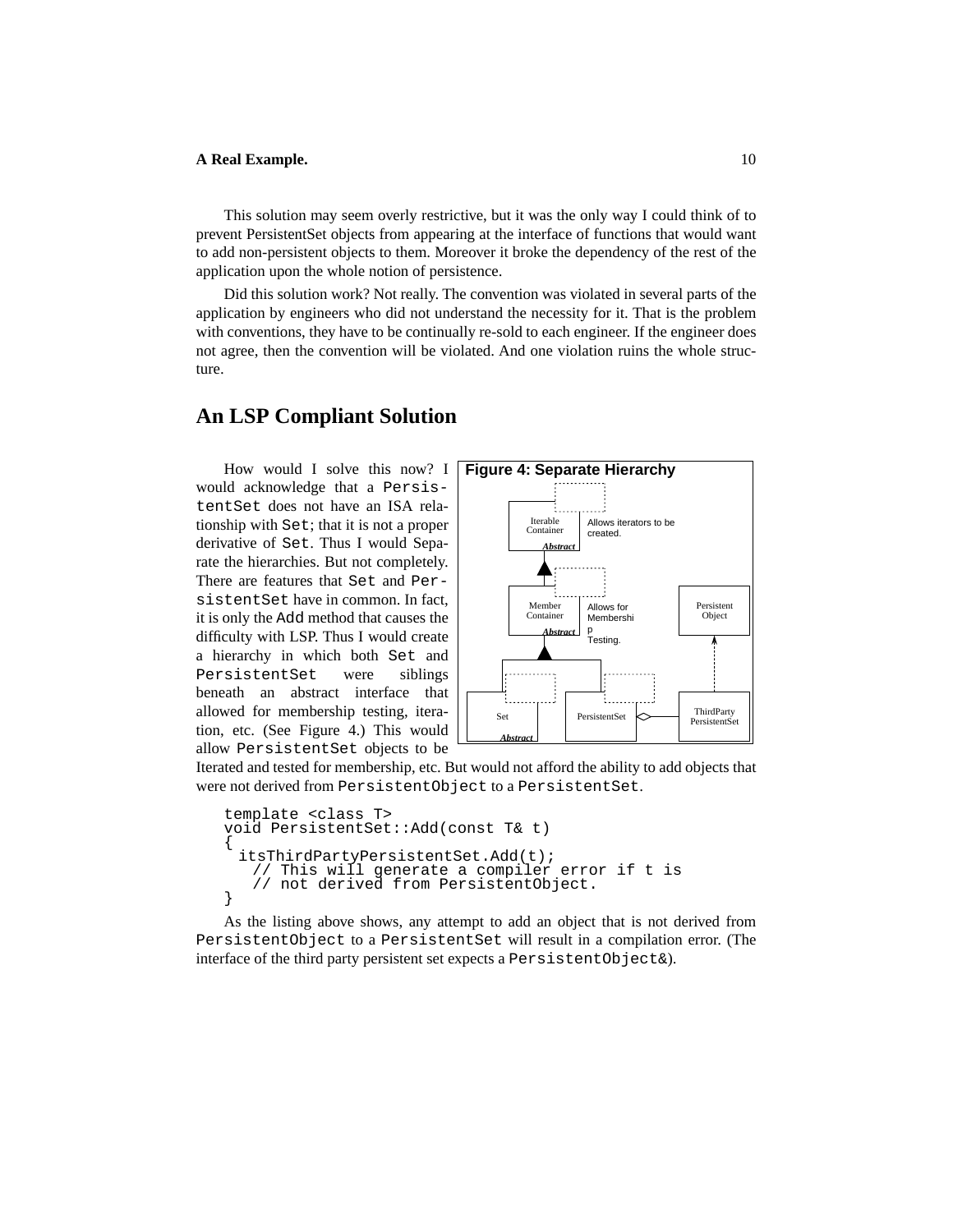#### **A Real Example.** 10

This solution may seem overly restrictive, but it was the only way I could think of to prevent PersistentSet objects from appearing at the interface of functions that would want to add non-persistent objects to them. Moreover it broke the dependency of the rest of the application upon the whole notion of persistence.

Did this solution work? Not really. The convention was violated in several parts of the application by engineers who did not understand the necessity for it. That is the problem with conventions, they have to be continually re-sold to each engineer. If the engineer does not agree, then the convention will be violated. And one violation ruins the whole structure.

### **An LSP Compliant Solution**

How would I solve this now? I would acknowledge that a PersistentSet does not have an ISA relationship with Set; that it is not a proper derivative of Set. Thus I would Separate the hierarchies. But not completely. There are features that Set and PersistentSet have in common. In fact, it is only the Add method that causes the difficulty with LSP. Thus I would create a hierarchy in which both Set and PersistentSet were siblings beneath an abstract interface that allowed for membership testing, iteration, etc. (See Figure 4.) This would allow PersistentSet objects to be



Iterated and tested for membership, etc. But would not afford the ability to add objects that were not derived from PersistentObject to a PersistentSet.

```
template <class T>
void PersistentSet::Add(const T& t)
{
 itsThirdPartyPersistentSet.Add(t);
   // This will generate a compiler error if t is
   // not derived from PersistentObject.
}
```
As the listing above shows, any attempt to add an object that is not derived from PersistentObject to a PersistentSet will result in a compilation error. (The interface of the third party persistent set expects a PersistentObject&).